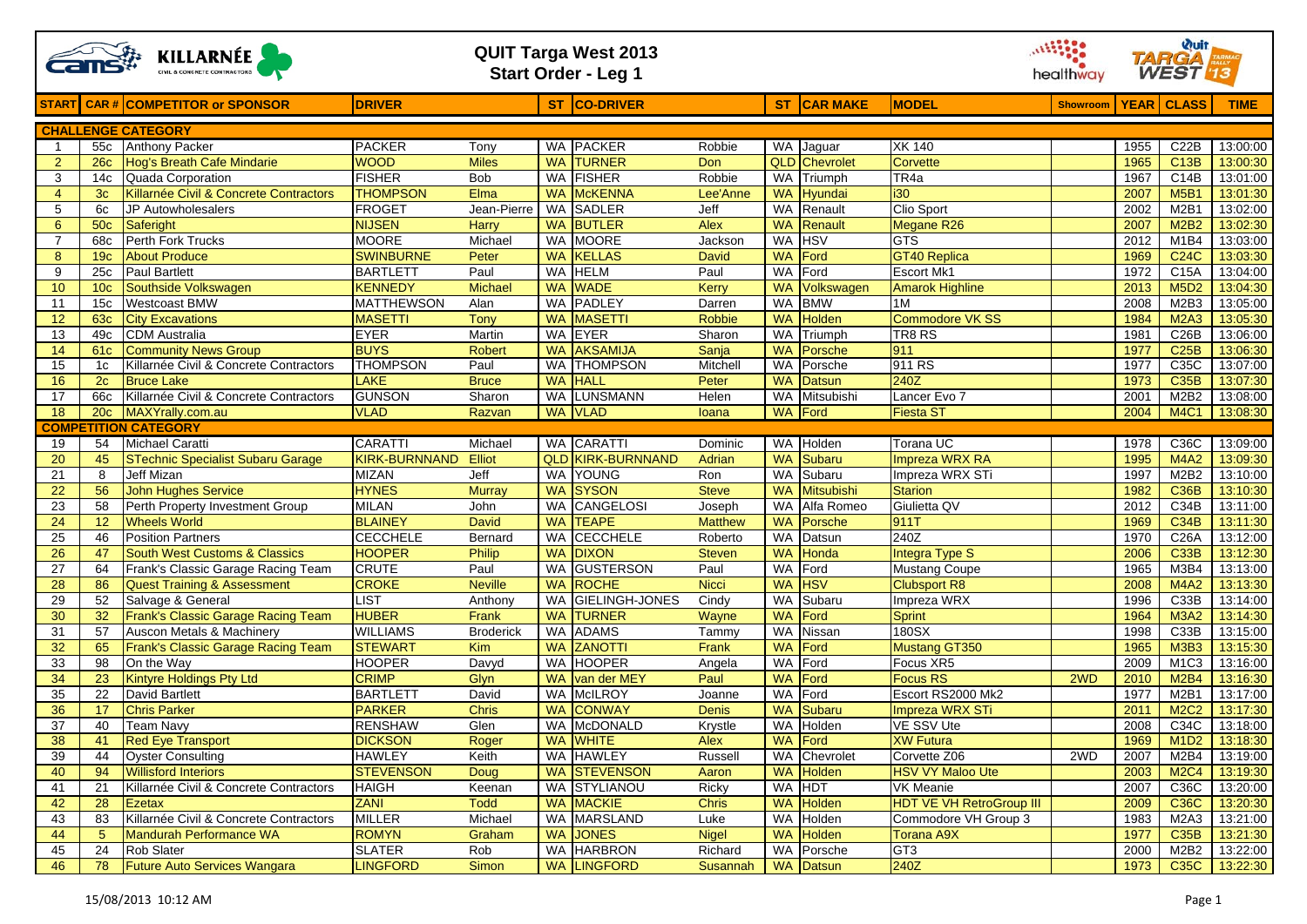|                |                 | <b>QUIT Targa West 2013</b><br><b>KILLARNÉE</b><br><b>Start Order - Leg 1</b> |                                   |                                |                        |                                |                |                 |                      |                                 |                         | <b>Wuit</b><br>TARGA<br><b>WEST</b> |                               |                      |
|----------------|-----------------|-------------------------------------------------------------------------------|-----------------------------------|--------------------------------|------------------------|--------------------------------|----------------|-----------------|----------------------|---------------------------------|-------------------------|-------------------------------------|-------------------------------|----------------------|
|                |                 | <b>START</b> CAR # COMPETITOR or SPONSOR                                      | <b>DRIVER</b>                     |                                |                        | ST CO-DRIVER                   |                |                 | ST CAR MAKE          | <b>MODEL</b>                    | Showroom   YEAR   CLASS |                                     |                               | <b>TIME</b>          |
|                |                 | <b>CHALLENGE CATEGORY</b>                                                     |                                   |                                |                        |                                |                |                 |                      |                                 |                         |                                     |                               |                      |
| -1             | 55c             | <b>Anthony Packer</b>                                                         | <b>PACKER</b>                     | Tony                           |                        | <b>WA PACKER</b>               | Robbie         |                 | WA Jaguar            | <b>XK 140</b>                   |                         | 1955                                | C22B                          | 13:00:00             |
| $\overline{2}$ | 26c             | Hog's Breath Cafe Mindarie                                                    | <b>WOOD</b>                       | <b>Miles</b>                   | <b>WA</b>              | <b>TURNER</b>                  | Don            |                 | <b>QLD</b> Chevrolet | Corvette                        |                         | 1965                                | <b>C13B</b>                   | 13:00:30             |
| 3              | 14с             | Quada Corporation                                                             | <b>FISHER</b>                     | <b>Bob</b>                     | <b>WA</b>              | <b>FISHER</b>                  | Robbie         | <b>WA</b>       | Triumph              | TR4a                            |                         | 1967                                | C <sub>14</sub> B             | 13:01:00             |
| $\overline{4}$ | 3c              | Killarnée Civil & Concrete Contractors                                        | <b>THOMPSON</b>                   | Elma                           | <b>WA</b>              | <b>McKENNA</b>                 | Lee'Anne       | <b>WA</b>       | Hyundai              | <b>i30</b>                      |                         | 2007                                | <b>M5B1</b>                   | 13:01:30             |
| 5              | 6c              | JP Autowholesalers                                                            | <b>FROGET</b>                     | Jean-Pierre                    | WA                     | <b>SADLER</b>                  | Jeff           |                 | <b>WA</b> Renault    | Clio Sport                      |                         | 2002                                | M <sub>2</sub> B <sub>1</sub> | 13:02:00             |
| 6              | <b>50c</b>      | Saferight                                                                     | <b>NIJSEN</b>                     | Harry                          | <b>WA</b>              | <b>BUTLER</b>                  | Alex           | <b>WA</b>       | Renault              | <b>Megane R26</b>               |                         | 2007                                | <b>M2B2</b>                   | 13:02:30             |
| $\overline{7}$ | 68c             | <b>Perth Fork Trucks</b>                                                      | <b>MOORE</b>                      | Michael                        | <b>WA</b>              | <b>MOORE</b>                   | Jackson        | WA              | <b>HSV</b>           | <b>GTS</b>                      |                         | 2012                                | M <sub>1</sub> B <sub>4</sub> | 13:03:00             |
| 8              | 19 <sub>c</sub> | <b>About Produce</b>                                                          | <b>SWINBURNE</b>                  | Peter                          | <b>WA</b>              | <b>KELLAS</b>                  | <b>David</b>   | <b>WA</b>       | Ford                 | <b>GT40 Replica</b>             |                         | 1969                                | <b>C24C</b>                   | 13:03:30             |
| 9              | 25c             | <b>Paul Bartlett</b>                                                          | <b>BARTLETT</b>                   | Paul                           | <b>WA</b>              | <b>HELM</b>                    | Paul           | WA              | Ford                 | <b>Escort Mk1</b>               |                         | 1972                                | C15A                          | 13:04:00             |
| 10             | 10 <sub>c</sub> | Southside Volkswagen                                                          | <b>KENNEDY</b>                    | <b>Michael</b>                 | <b>WA</b>              | <b>WADE</b>                    | Kerry          | <b>WA</b>       | Volkswagen           | <b>Amarok Highline</b>          |                         | 2013                                | <b>M5D2</b>                   | 13:04:30             |
| 11             | 15 <sub>c</sub> | <b>Westcoast BMW</b>                                                          | <b>MATTHEWSON</b>                 | Alan                           | <b>WA</b>              | <b>PADLEY</b>                  | Darren         | WA              | <b>BMW</b>           | 1M                              |                         | 2008                                | M <sub>2</sub> B <sub>3</sub> | 13:05:00             |
| 12             | 63c             | <b>City Excavations</b>                                                       | <b>MASETTI</b>                    | <b>Tony</b>                    | <b>WA</b>              | <b>MASETTI</b>                 | <b>Robbie</b>  |                 | WA Holden            | Commodore VK SS                 |                         | 1984                                | <b>M2A3</b>                   | 13:05:30             |
| 13             | 49c             | <b>CDM</b> Australia                                                          | <b>EYER</b>                       | Martin                         | <b>WA</b>              | <b>EYER</b>                    | Sharon         | WA              | Triumph              | TR8 RS                          |                         | 1981                                | C26B                          | 13:06:00             |
| 14             | 61c             | <b>Community News Group</b>                                                   | <b>BUYS</b>                       | <b>Robert</b>                  | <b>WA</b>              | <b>AKSAMIJA</b>                | Sanja          |                 | <b>WA</b> Porsche    | 911                             |                         | 1977                                | <b>C25B</b>                   | 13:06:30             |
| 15             | 1c              | Killarnée Civil & Concrete Contractors                                        | <b>THOMPSON</b>                   | Paul                           | <b>WA</b>              | <b>THOMPSON</b>                | Mitchell       |                 | <b>WA</b> Porsche    | 911 RS                          |                         | 1977                                | C35C                          | 13:07:00             |
| 16             | 2c              | <b>Bruce Lake</b>                                                             | LAKE                              | <b>Bruce</b>                   | <b>WA</b>              | <b>HALL</b>                    | Peter          | <b>WA</b>       | <b>Datsun</b>        | 240Z                            |                         | 1973                                | <b>C35B</b>                   | 13:07:30             |
| 17             | 66c             | Killarnée Civil & Concrete Contractors                                        | <b>GUNSON</b>                     | Sharon                         | WA                     | <b>LUNSMANN</b>                | Helen          | WA              | Mitsubishi           | Lancer Evo 7                    |                         | 2001                                | M <sub>2</sub> B <sub>2</sub> | 13:08:00             |
| 18             | 20c             | MAXYrally.com.au                                                              | <b>VLAD</b>                       | Razvan                         |                        | <b>WA VLAD</b>                 | loana          |                 | <b>WA Ford</b>       | <b>Fiesta ST</b>                |                         | 2004                                | <b>M4C1</b>                   | 13:08:30             |
|                |                 | <b>COMPETITION CATEGORY</b>                                                   |                                   |                                |                        |                                |                |                 |                      |                                 |                         |                                     |                               |                      |
| 19             | 54              | <b>Michael Caratti</b>                                                        | <b>CARATTI</b>                    | Michael                        |                        | WA CARATTI                     | Dominic        | WA              | Holden               | Torana UC                       |                         | 1978                                | C36C                          | 13:09:00             |
| 20             | 45              | <b>STechnic Specialist Subaru Garage</b>                                      | <b>KIRK-BURNNAND</b>              | Elliot                         | <b>QLD</b>             | <b>KIRK-BURNNAND</b>           | Adrian         | <b>WA</b>       | Subaru               | Impreza WRX RA                  |                         | 1995                                | <b>M4A2</b>                   | 13:09:30             |
| 21             | 8               | Jeff Mizan                                                                    | <b>MIZAN</b>                      | Jeff                           | <b>WA</b>              | <b>YOUNG</b>                   | Ron            | <b>WA</b>       | Subaru               | Impreza WRX STi                 |                         | 1997                                | M2B2                          | 13:10:00             |
| 22             | 56              | <b>John Hughes Service</b>                                                    | <b>HYNES</b>                      | <b>Murray</b>                  | <b>WA</b>              | <b>SYSON</b>                   | <b>Steve</b>   | <b>WA</b>       | <b>Mitsubishi</b>    | <b>Starion</b>                  |                         | 1982                                | <b>C36B</b>                   | 13:10:30             |
| 23             | 58              | Perth Property Investment Group                                               | <b>MILAN</b>                      | John                           | <b>WA</b>              | CANGELOSI                      | Joseph         | WA              | Alfa Romeo           | Giulietta QV                    |                         | 2012                                | C34B                          | 13:11:00             |
| 24             | 12              | <b>Wheels World</b>                                                           | <b>BLAINEY</b>                    | <b>David</b>                   | <b>WA</b>              | <b>TEAPE</b>                   | <b>Matthew</b> | <b>WA</b>       | Porsche              | 911T                            |                         | 1969                                | <b>C34B</b>                   | 13:11:30             |
| 25             | 46              | <b>Position Partners</b>                                                      | <b>CECCHELE</b>                   | Bernard                        | <b>WA</b>              | <b>CECCHELE</b>                | Roberto        | WA              | Datsun               | 240Z                            |                         | 1970                                | C <sub>26A</sub>              | 13:12:00             |
| 26             | 47              | <b>South West Customs &amp; Classics</b>                                      | <b>HOOPER</b>                     | Philip                         | <b>WA</b>              | <b>DIXON</b>                   | <b>Steven</b>  | <b>WA</b>       | Honda                | Integra Type S                  |                         | 2006                                | <b>C33B</b>                   | 13:12:30             |
| 27             | 64              | Frank's Classic Garage Racing Team                                            | <b>CRUTE</b>                      | Paul                           | <b>WA</b>              | <b>GUSTERSON</b>               | Paul           | WA              | Ford                 | <b>Mustang Coupe</b>            |                         | 1965                                | M3B4                          | 13:13:00             |
| 28             | 86              | <b>Quest Training &amp; Assessment</b>                                        | <b>CROKE</b>                      | <b>Neville</b>                 | <b>WA</b>              | <b>ROCHE</b>                   | <b>Nicci</b>   | <b>WA</b>       | <b>HSV</b>           | <b>Clubsport R8</b>             |                         | 2008                                | <b>M4A2</b>                   | 13:13:30             |
| 29             | 52              | Salvage & General                                                             | <b>LIST</b>                       | Anthony                        | <b>WA</b>              | GIELINGH-JONES                 | Cindy          |                 | WA Subaru            | Impreza WRX                     |                         | 1996                                | C33B                          | 13:14:00             |
| 30             | 32              | Frank's Classic Garage Racing Team                                            | <b>HUBER</b>                      | Frank                          | <b>WA</b>              | <b>TURNER</b>                  | Wayne          | <b>WA</b>       | Ford                 | Sprint                          |                         | 1964                                | <b>M3A2</b>                   | 13:14:30             |
| 31             | 57<br>65        | Auscon Metals & Machinery                                                     | <b>WILLIAMS</b><br><b>STEWART</b> | <b>Broderick</b><br><b>Kim</b> | <b>WA</b><br><b>WA</b> | <b>ADAMS</b><br><b>ZANOTTI</b> | Tammy<br>Frank | WA<br><b>WA</b> | Nissan<br>Ford       | 180SX<br>Mustang GT350          |                         | 1998<br>1965                        | C33B<br><b>M3B3</b>           | 13:15:00             |
| 32<br>33       | 98              | Frank's Classic Garage Racing Team<br>On the Way                              | <b>HOOPER</b>                     | Davyd                          | WA                     | <b>HOOPER</b>                  |                | WA              | Ford                 | Focus XR5                       |                         | 2009                                | M <sub>1</sub> C <sub>3</sub> | 13:15:30<br>13:16:00 |
| 34             | 23              | <b>Kintyre Holdings Pty Ltd</b>                                               | <b>CRIMP</b>                      | Glyn                           | <b>WA</b>              | van der MEY                    | Angela<br>Paul | <b>WA</b>       | Ford                 | <b>Focus RS</b>                 | 2WD                     | 2010                                | <b>M2B4</b>                   | 13:16:30             |
| 35             | 22              | <b>David Bartlett</b>                                                         | <b>BARTLETT</b>                   | David                          | WA                     | <b>McILROY</b>                 | Joanne         | <b>WA</b>       | Ford                 | Escort RS2000 Mk2               |                         | 1977                                | M <sub>2</sub> B <sub>1</sub> | 13:17:00             |
| 36             | 17              | <b>Chris Parker</b>                                                           | <b>PARKER</b>                     | <b>Chris</b>                   | <b>WA</b>              | <b>CONWAY</b>                  | <b>Denis</b>   | <b>WA</b>       | Subaru               | Impreza WRX STi                 |                         | 2011                                | <b>M2C2</b>                   | 13:17:30             |
| 37             | 40              | <b>Team Navy</b>                                                              | <b>RENSHAW</b>                    | Glen                           |                        | WA McDONALD                    | Krystle        |                 | WA Holden            | <b>VE SSV Ute</b>               |                         | 2008                                | C34C                          | 13:18:00             |
| 38             | 41              | <b>Red Eye Transport</b>                                                      | <b>DICKSON</b>                    | Roger                          |                        | <b>WA WHITE</b>                | Alex           |                 | <b>WA Ford</b>       | <b>XW Futura</b>                |                         | 1969                                | M1D2                          | 13:18:30             |
| 39             | 44              | <b>Oyster Consulting</b>                                                      | <b>HAWLEY</b>                     | Keith                          |                        | WA HAWLEY                      | Russell        |                 | WA Chevrolet         | Corvette Z06                    | 2WD                     | 2007                                | M2B4                          | 13:19:00             |
| 40             | 94              | <b>Willisford Interiors</b>                                                   | <b>STEVENSON</b>                  | Doug                           |                        | <b>WA STEVENSON</b>            | Aaron          |                 | WA Holden            | <b>HSV VY Maloo Ute</b>         |                         | 2003                                | <b>M2C4</b>                   | 13:19:30             |
| 41             | 21              | Killarnée Civil & Concrete Contractors                                        | <b>HAIGH</b>                      | Keenan                         |                        | <b>WA STYLIANOU</b>            | Ricky          |                 | WA HDT               | <b>VK Meanie</b>                |                         | 2007                                | C36C                          | 13:20:00             |
| 42             | 28              | Ezetax                                                                        | <b>ZANI</b>                       | <b>Todd</b>                    |                        | <b>WA MACKIE</b>               | <b>Chris</b>   |                 | WA Holden            | <b>HDT VE VH RetroGroup III</b> |                         | 2009                                | C36C                          | 13:20:30             |
| 43             | 83              | Killarnée Civil & Concrete Contractors                                        | <b>MILLER</b>                     | Michael                        |                        | WA MARSLAND                    | Luke           |                 | WA Holden            | Commodore VH Group 3            |                         | 1983                                | M <sub>2</sub> A <sub>3</sub> | 13:21:00             |
| 44             | $5^{\circ}$     | Mandurah Performance WA                                                       | <b>ROMYN</b>                      | Graham                         | <b>WA</b>              | <b>JONES</b>                   | <b>Nigel</b>   |                 | WA Holden            | <b>Torana A9X</b>               |                         | 1977                                | C35B                          | 13:21:30             |
| 45             | 24              | <b>Rob Slater</b>                                                             | <b>SLATER</b>                     | Rob                            |                        | <b>WA HARBRON</b>              | Richard        |                 | WA Porsche           | GT <sub>3</sub>                 |                         | 2000                                | M2B2                          | 13:22:00             |
| 46             | 78              | Future Auto Services Wangara                                                  | <b>LINGFORD</b>                   | Simon                          |                        | <b>WA LINGFORD</b>             | Susannah       |                 | WA Datsun            | 240Z                            |                         | 1973                                | C35C                          | 13:22:30             |